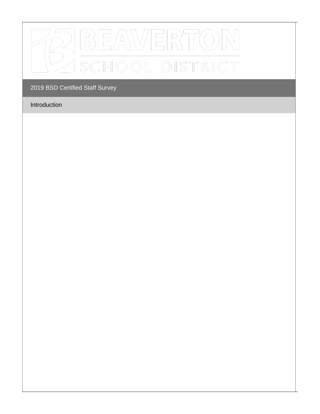

# Introduction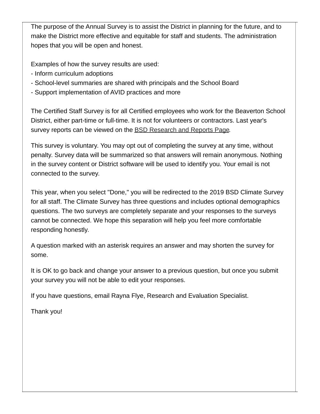The purpose of the Annual Survey is to assist the District in planning for the future, and to make the District more effective and equitable for staff and students. The administration hopes that you will be open and honest.

Examples of how the survey results are used:

- Inform curriculum adoptions
- School-level summaries are shared with principals and the School Board
- Support implementation of AVID practices and more

The Certified Staff Survey is for all Certified employees who work for the Beaverton School District, either part-time or full-time. It is not for volunteers or contractors. Last year's survey reports can be viewed on the **BSD [Research](https://www.beaverton.k12.or.us/district/research-reports) and Reports Page.** 

This survey is voluntary. You may opt out of completing the survey at any time, without penalty. Survey data will be summarized so that answers will remain anonymous. Nothing in the survey content or District software will be used to identify you. Your email is not connected to the survey.

This year, when you select "Done," you will be redirected to the 2019 BSD Climate Survey for all staff. The Climate Survey has three questions and includes optional demographics questions. The two surveys are completely separate and your responses to the surveys cannot be connected. We hope this separation will help you feel more comfortable responding honestly.

A question marked with an asterisk requires an answer and may shorten the survey for some.

It is OK to go back and change your answer to a previous question, but once you submit your survey you will not be able to edit your responses.

If you have questions, email Rayna Flye, Research and Evaluation Specialist.

Thank you!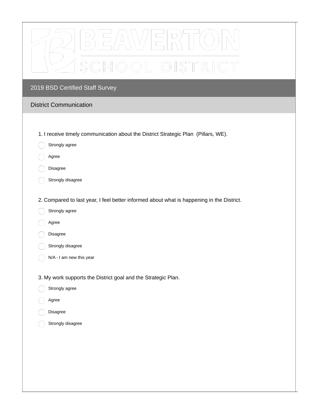

#### District Communication

- 1. I receive timely communication about the District Strategic Plan (Pillars, WE).
- Strongly agree
- Agree
- Disagree
- Strongly disagree
- 2. Compared to last year, I feel better informed about what is happening in the District.
- Strongly agree
- Agree
- Disagree
- Strongly disagree
- N/A I am new this year

3. My work supports the District goal and the Strategic Plan.

- Strongly agree
- Agree
- Disagree
	- Strongly disagree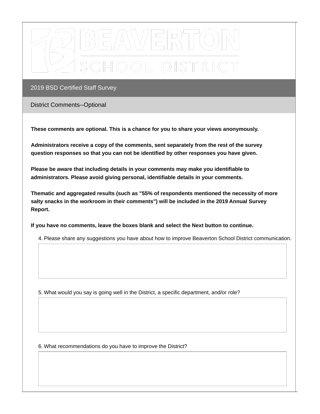

District Comments--Optional

**These comments are optional. This is a chance for you to share your views anonymously.**

**Administrators receive a copy of the comments, sent separately from the rest of the survey question responses so that you can not be identified by other responses you have given.**

**Please be aware that including details in your comments may make you identifiable to administrators. Please avoid giving personal, identifiable details in your comments.**

**Thematic and aggregated results (such as "55% of respondents mentioned the necessity of more salty snacks in the workroom in their comments") will be included in the 2019 Annual Survey Report.**

**If you have no comments, leave the boxes blank and select the Next button to continue.**

4. Please share any suggestions you have about how to improve Beaverton School District communication.

5. What would you say is going well in the District, a specific department, and/or role?

6. What recommendations do you have to improve the District?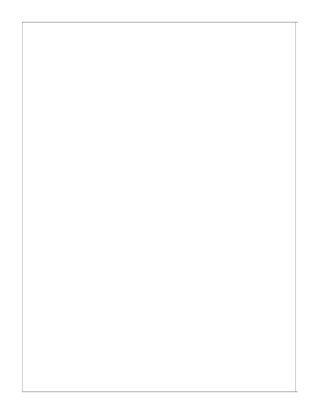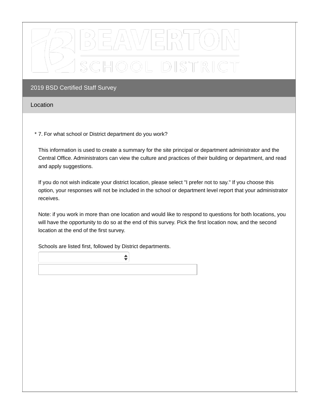

Location

7. For what school or District department do you work? \*

This information is used to create a summary for the site principal or department administrator and the Central Office. Administrators can view the culture and practices of their building or department, and read and apply suggestions.

If you do not wish indicate your district location, please select "I prefer not to say." If you choose this option, your responses will not be included in the school or department level report that your administrator receives.

Note: if you work in more than one location and would like to respond to questions for both locations, you will have the opportunity to do so at the end of this survey. Pick the first location now, and the second location at the end of the first survey.

Schools are listed first, followed by District departments.

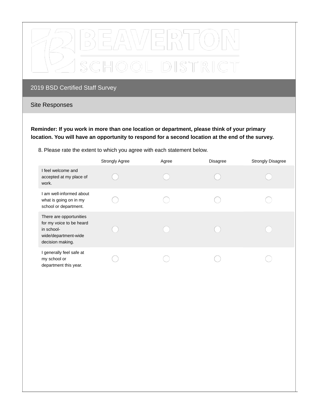

## Site Responses

**Reminder: If you work in more than one location or department, please think of your primary location. You will have an opportunity to respond for a second location at the end of the survey.**

8. Please rate the extent to which you agree with each statement below.

|                                                                                                               | <b>Strongly Agree</b> | Agree | <b>Disagree</b> | <b>Strongly Disagree</b> |
|---------------------------------------------------------------------------------------------------------------|-----------------------|-------|-----------------|--------------------------|
| I feel welcome and<br>accepted at my place of<br>work.                                                        |                       |       |                 |                          |
| I am well-informed about<br>what is going on in my<br>school or department.                                   |                       |       |                 |                          |
| There are opportunities<br>for my voice to be heard<br>in school-<br>wide/department-wide<br>decision making. |                       |       |                 |                          |
| I generally feel safe at<br>my school or<br>department this year.                                             |                       |       |                 |                          |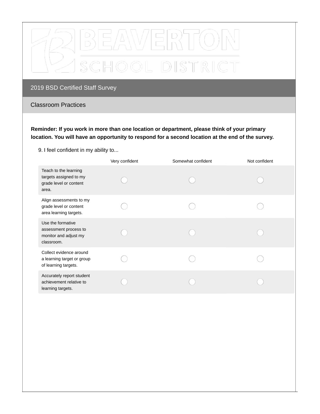

#### Classroom Practices

**Reminder: If you work in more than one location or department, please think of your primary location. You will have an opportunity to respond for a second location at the end of the survey.**

9. I feel confident in my ability to...

|                                                                                    | Very confident | Somewhat confident | Not confident |
|------------------------------------------------------------------------------------|----------------|--------------------|---------------|
| Teach to the learning<br>targets assigned to my<br>grade level or content<br>area. |                |                    |               |
| Align assessments to my<br>grade level or content<br>area learning targets.        |                |                    |               |
| Use the formative<br>assessment process to<br>monitor and adjust my<br>classroom.  |                |                    |               |
| Collect evidence around<br>a learning target or group<br>of learning targets.      |                |                    |               |
| Accurately report student<br>achievement relative to<br>learning targets.          |                |                    |               |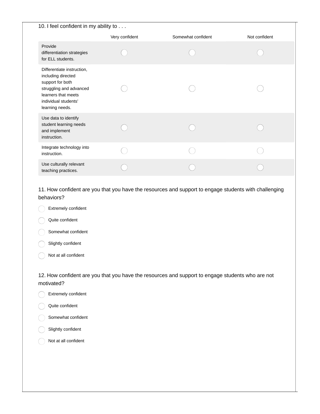| Somewhat confident<br>Not confident<br>Very confident<br>Provide<br>differentiation strategies<br>for ELL students.<br>Differentiate instruction,<br>including directed<br>support for both<br>struggling and advanced<br>learners that meets<br>individual students'<br>learning needs.<br>Use data to identify<br>student learning needs<br>and implement<br>instruction.<br>Integrate technology into<br>instruction.<br>Use culturally relevant | 10. I feel confident in my ability to |  |  |
|-----------------------------------------------------------------------------------------------------------------------------------------------------------------------------------------------------------------------------------------------------------------------------------------------------------------------------------------------------------------------------------------------------------------------------------------------------|---------------------------------------|--|--|
|                                                                                                                                                                                                                                                                                                                                                                                                                                                     |                                       |  |  |
|                                                                                                                                                                                                                                                                                                                                                                                                                                                     |                                       |  |  |
|                                                                                                                                                                                                                                                                                                                                                                                                                                                     |                                       |  |  |
|                                                                                                                                                                                                                                                                                                                                                                                                                                                     |                                       |  |  |
|                                                                                                                                                                                                                                                                                                                                                                                                                                                     |                                       |  |  |
|                                                                                                                                                                                                                                                                                                                                                                                                                                                     | teaching practices.                   |  |  |

11. How confident are you that you have the resources and support to engage students with challenging behaviors?

- Extremely confident
- Quite confident
- Somewhat confident
- Slightly confident
- Not at all confident  $(\ )$

12. How confident are you that you have the resources and support to engage students who are not motivated?

- Extremely confident
- Quite confident
- Somewhat confident
- Slightly confident
- Not at all confident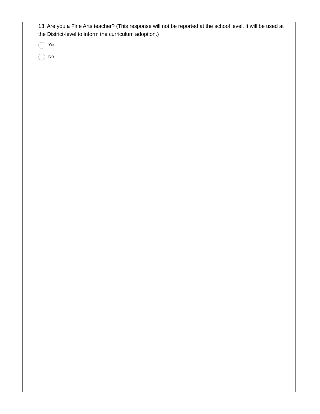| 13. Are you a Fine Arts teacher? (This response will not be reported at the school level. It will be used at |
|--------------------------------------------------------------------------------------------------------------|
| the District-level to inform the curriculum adoption.)                                                       |

Yes

 $\bigcirc$  No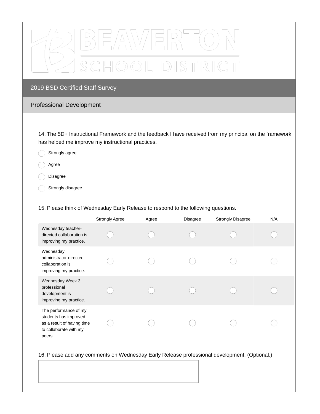

## Professional Development

14. The 5D+ Instructional Framework and the feedback I have received from my principal on the framework has helped me improve my instructional practices.

Strongly agree

Agree

Disagree

Strongly disagree

15. Please think of Wednesday Early Release to respond to the following questions.

|                                                                                                                  | <b>Strongly Agree</b> | Agree | <b>Disagree</b> | <b>Strongly Disagree</b> | N/A |
|------------------------------------------------------------------------------------------------------------------|-----------------------|-------|-----------------|--------------------------|-----|
| Wednesday teacher-<br>directed collaboration is<br>improving my practice.                                        |                       |       |                 |                          |     |
| Wednesday<br>administrator-directed<br>collaboration is<br>improving my practice.                                |                       |       |                 |                          |     |
| Wednesday Week 3<br>professional<br>development is<br>improving my practice.                                     |                       |       |                 |                          |     |
| The performance of my<br>students has improved<br>as a result of having time<br>to collaborate with my<br>peers. |                       |       |                 |                          |     |

#### 16. Please add any comments on Wednesday Early Release professional development. (Optional.)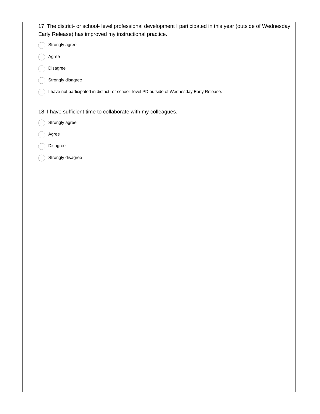17. The district- or school- level professional development I participated in this year (outside of Wednesday Early Release) has improved my instructional practice.

Strongly agree

- Agree  $\left(\begin{array}{c} \end{array}\right)$
- Disagree
- Strongly disagree
- $\bigcap$  I have not participated in district- or school- level PD outside of Wednesday Early Release.

18. I have sufficient time to collaborate with my colleagues.

- Strongly agree
- Agree
- Disagree
	- Strongly disagree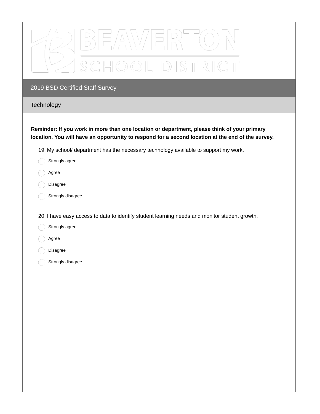

# **Technology**

**Reminder: If you work in more than one location or department, please think of your primary location. You will have an opportunity to respond for a second location at the end of the survey.**

- 19. My school/ department has the necessary technology available to support my work.
- Strongly agree
- Agree
- Disagree
- Strongly disagree

20. I have easy access to data to identify student learning needs and monitor student growth.

- Strongly agree
- Agree
- Disagree
- Strongly disagree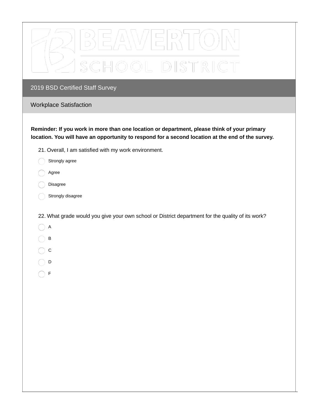| 2019 BSD Certified Staff Survey |
|---------------------------------|

# Workplace Satisfaction

**Reminder: If you work in more than one location or department, please think of your primary location. You will have an opportunity to respond for a second location at the end of the survey.**

- 21. Overall, I am satisfied with my work environment.
- Strongly agree
- Agree
- Disagree
- Strongly disagree

22. What grade would you give your own school or District department for the quality of its work?

- $\bigcap$  A
- $\bigcap$  B
- $\bigcap$  c
- $\bigcap$  D
- $\bigcap$  F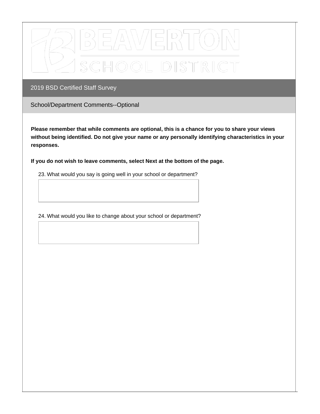

School/Department Comments--Optional

**Please remember that while comments are optional, this is a chance for you to share your views without being identified. Do not give your name or any personally identifying characteristics in your responses.**

**If you do not wish to leave comments, select Next at the bottom of the page.**

23. What would you say is going well in your school or department?

24. What would you like to change about your school or department?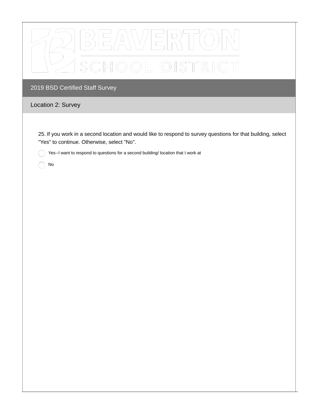

# Location 2: Survey

25. If you work in a second location and would like to respond to survey questions for that building, select "Yes" to continue. Otherwise, select "No".

Yes--I want to respond to questions for a second building/ location that I work at

No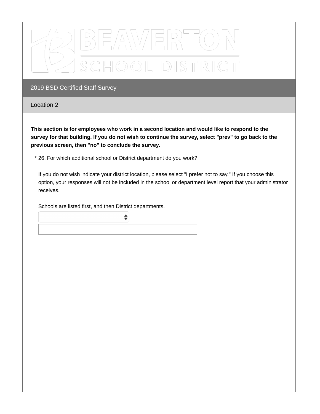

Location 2

**This section is for employees who work in a second location and would like to respond to the** survey for that building. If you do not wish to continue the survey, select "prev" to go back to the **previous screen, then "no" to conclude the survey.**

26. For which additional school or District department do you work? \*

 $\div$ 

If you do not wish indicate your district location, please select "I prefer not to say." If you choose this option, your responses will not be included in the school or department level report that your administrator receives.

Schools are listed first, and then District departments.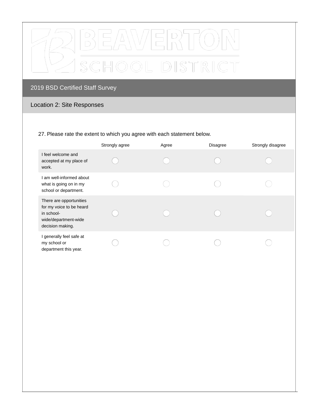

# Location 2: Site Responses

#### 27. Please rate the extent to which you agree with each statement below.

|                                                                                                               | Strongly agree | Agree | <b>Disagree</b> | Strongly disagree |
|---------------------------------------------------------------------------------------------------------------|----------------|-------|-----------------|-------------------|
| I feel welcome and<br>accepted at my place of<br>work.                                                        |                |       |                 |                   |
| I am well-informed about<br>what is going on in my<br>school or department.                                   |                |       |                 |                   |
| There are opportunities<br>for my voice to be heard<br>in school-<br>wide/department-wide<br>decision making. |                |       |                 |                   |
| I generally feel safe at<br>my school or<br>department this year.                                             |                |       |                 |                   |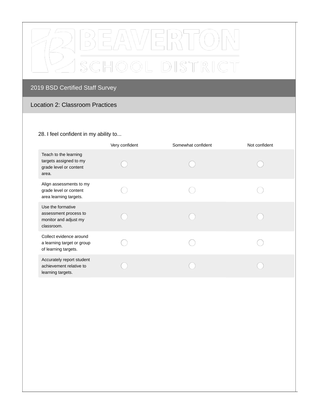

# Location 2: Classroom Practices

#### 28. I feel confident in my ability to...

|                                                                                    | Very confident | Somewhat confident | Not confident |
|------------------------------------------------------------------------------------|----------------|--------------------|---------------|
| Teach to the learning<br>targets assigned to my<br>grade level or content<br>area. |                |                    |               |
| Align assessments to my<br>grade level or content<br>area learning targets.        |                |                    |               |
| Use the formative<br>assessment process to<br>monitor and adjust my<br>classroom.  |                |                    |               |
| Collect evidence around<br>a learning target or group<br>of learning targets.      |                |                    |               |
| Accurately report student<br>achievement relative to<br>learning targets.          |                |                    |               |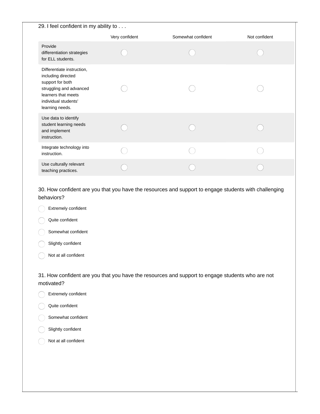| 29. I feel confident in my ability to                                                                                                                             |                |                    |               |
|-------------------------------------------------------------------------------------------------------------------------------------------------------------------|----------------|--------------------|---------------|
|                                                                                                                                                                   | Very confident | Somewhat confident | Not confident |
| Provide<br>differentiation strategies<br>for ELL students.                                                                                                        |                |                    |               |
| Differentiate instruction,<br>including directed<br>support for both<br>struggling and advanced<br>learners that meets<br>individual students'<br>learning needs. |                |                    |               |
| Use data to identify<br>student learning needs<br>and implement<br>instruction.                                                                                   |                |                    |               |
| Integrate technology into<br>instruction.                                                                                                                         |                |                    |               |
| Use culturally relevant<br>teaching practices.                                                                                                                    |                |                    |               |
|                                                                                                                                                                   |                |                    |               |

30. How confident are you that you have the resources and support to engage students with challenging behaviors?

- Extremely confident
- Quite confident
- Somewhat confident
- Slightly confident
- Not at all confident  $(\ )$

31. How confident are you that you have the resources and support to engage students who are not motivated?

- Extremely confident
- Quite confident
- Somewhat confident
- Slightly confident
- Not at all confident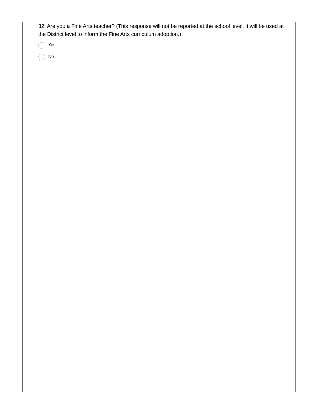| 32. Are you a Fine Arts teacher? (This response will not be reported at the school level. It will be used at |
|--------------------------------------------------------------------------------------------------------------|
| the District level to inform the Fine Arts curriculum adoption.)                                             |

Yes

No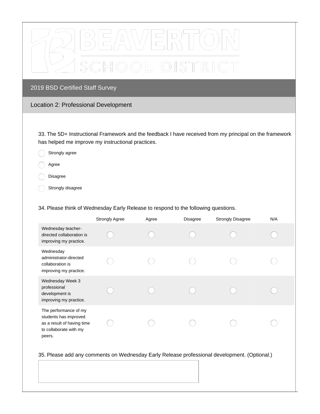

# Location 2: Professional Development

33. The 5D+ Instructional Framework and the feedback I have received from my principal on the framework has helped me improve my instructional practices.

Strongly agree

Agree

Disagree

Strongly disagree

34. Please think of Wednesday Early Release to respond to the following questions.

|                                                                                                                  | <b>Strongly Agree</b> | Agree | <b>Disagree</b> | <b>Strongly Disagree</b> | N/A |
|------------------------------------------------------------------------------------------------------------------|-----------------------|-------|-----------------|--------------------------|-----|
| Wednesday teacher-<br>directed collaboration is<br>improving my practice.                                        |                       |       |                 |                          |     |
| Wednesday<br>administrator-directed<br>collaboration is<br>improving my practice.                                |                       |       |                 |                          |     |
| Wednesday Week 3<br>professional<br>development is<br>improving my practice.                                     |                       |       |                 |                          |     |
| The performance of my<br>students has improved<br>as a result of having time<br>to collaborate with my<br>peers. |                       |       |                 |                          |     |

35. Please add any comments on Wednesday Early Release professional development. (Optional.)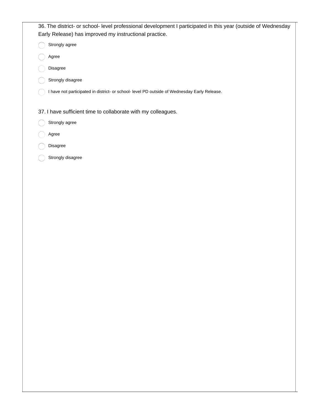36. The district- or school- level professional development I participated in this year (outside of Wednesday Early Release) has improved my instructional practice.

Strongly agree

Agree  $\left(\begin{array}{c} \end{array}\right)$ 

Disagree

Strongly disagree

 $\bigcap$  I have not participated in district- or school- level PD outside of Wednesday Early Release.

37. I have sufficient time to collaborate with my colleagues.

Strongly agree

Agree  $(\ )$ 

Disagree

Strongly disagree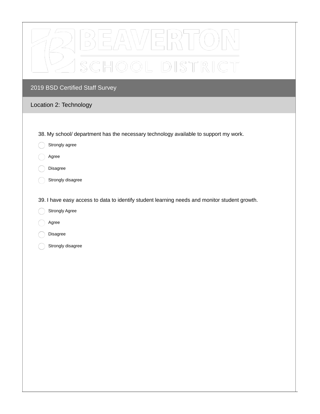

# Location 2: Technology

- 38. My school/ department has the necessary technology available to support my work.
- Strongly agree
- Agree
- Disagree
- Strongly disagree
- 39. I have easy access to data to identify student learning needs and monitor student growth.
- Strongly Agree
- Agree
- Disagree
- Strongly disagree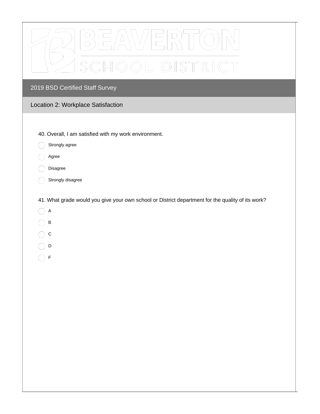| HOOL DISTRICT<br>$S\subset$                                                                       |
|---------------------------------------------------------------------------------------------------|
| 2019 BSD Certified Staff Survey                                                                   |
| Location 2: Workplace Satisfaction                                                                |
|                                                                                                   |
| 40. Overall, I am satisfied with my work environment.                                             |
| Strongly agree                                                                                    |
| Agree                                                                                             |
| Disagree                                                                                          |
| Strongly disagree                                                                                 |
| 41. What grade would you give your own school or District department for the quality of its work? |
| $\boldsymbol{\mathsf{A}}$                                                                         |
| $\sf B$                                                                                           |
| $\mathsf C$                                                                                       |
| D                                                                                                 |
| $\mathsf F$                                                                                       |
|                                                                                                   |
|                                                                                                   |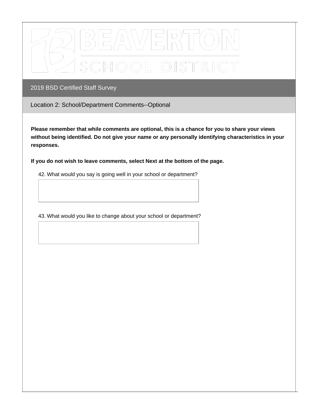

Location 2: School/Department Comments--Optional

**Please remember that while comments are optional, this is a chance for you to share your views without being identified. Do not give your name or any personally identifying characteristics in your responses.**

**If you do not wish to leave comments, select Next at the bottom of the page.**

42. What would you say is going well in your school or department?

43. What would you like to change about your school or department?